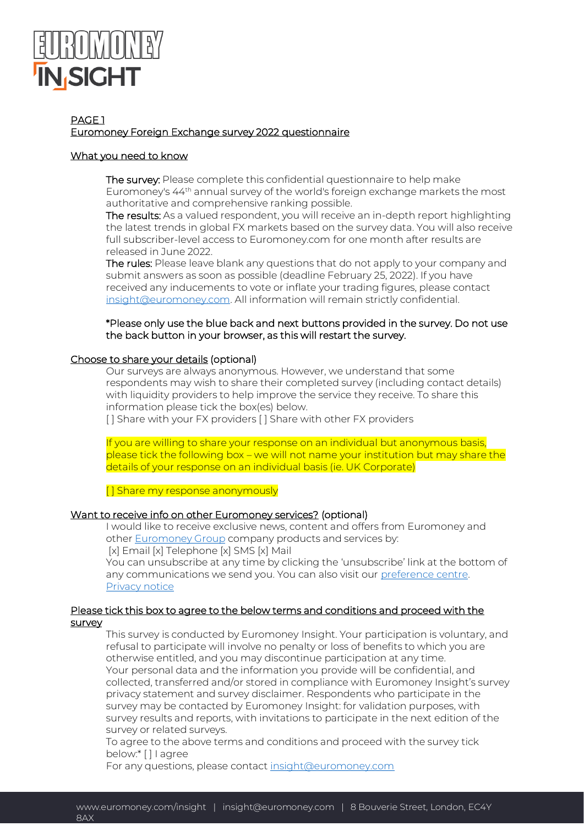

#### PAGE 1 Euromoney Foreign Exchange survey 2022 questionnaire

### What you need to know

The survey: Please complete this confidential questionnaire to help make Euromoney's 44<sup>th</sup> annual survey of the world's foreign exchange markets the most authoritative and comprehensive ranking possible.

The results: As a valued respondent, you will receive an in-depth report highlighting the latest trends in global FX markets based on the survey data. You will also receive full subscriber-level access to Euromoney.com for one month after results are released in June 2022.

The rules: Please leave blank any questions that do not apply to your company and submit answers as soon as possible (deadline February 25, 2022). If you have received any inducements to vote or inflate your trading figures, please contact [insight@euromoney.com.](mailto:insight@euromoney.com) All information will remain strictly confidential.

\*Please only use the blue back and next buttons provided in the survey. Do not use the back button in your browser, as this will restart the survey.

## Choose to share your details (optional)

Our surveys are always anonymous. However, we understand that some respondents may wish to share their completed survey (including contact details) with liquidity providers to help improve the service they receive. To share this information please tick the box(es) below.

[1] Share with your FX providers [1] Share with other FX providers

If you are willing to share your response on an individual but anonymous basis, please tick the following box – we will not name your institution but may share the details of your response on an individual basis (ie. UK Corporate)

[ ] Share my response anonymously

#### Want to receive info on other Euromoney services? (optional)

I would like to receive exclusive news, content and offers from Euromoney and othe[r Euromoney Group](https://www.euromoneyplc.com/our-portfolio/group-companies) company products and services by: [x] Email [x] Telephone [x] SMS [x] Mail

You can unsubscribe at any time by clicking the 'unsubscribe' link at the bottom of any communications we send you. You can also visit our [preference centre.](https://content.marketingpreferences.euromoneyplc.com/preference_centre_global_euromoney.html) [Privacy notice](https://www.euromoneyplc.com/privacy-notice)

## Please tick this box to agree to the below terms and conditions and proceed with the survey

This survey is conducted by Euromoney Insight. Your participation is voluntary, and refusal to participate will involve no penalty or loss of benefits to which you are otherwise entitled, and you may discontinue participation at any time. Your personal data and the information you provide will be confidential, and collected, transferred and/or stored in compliance with Euromoney Insight's survey privacy statement and survey disclaimer. Respondents who participate in the survey may be contacted by Euromoney Insight: for validation purposes, with survey results and reports, with invitations to participate in the next edition of the survey or related surveys.

To agree to the above terms and conditions and proceed with the survey tick below:\* [ ] I agree

For any questions, please contac[t insight@euromoney.com](mailto:insight@euromoney.com)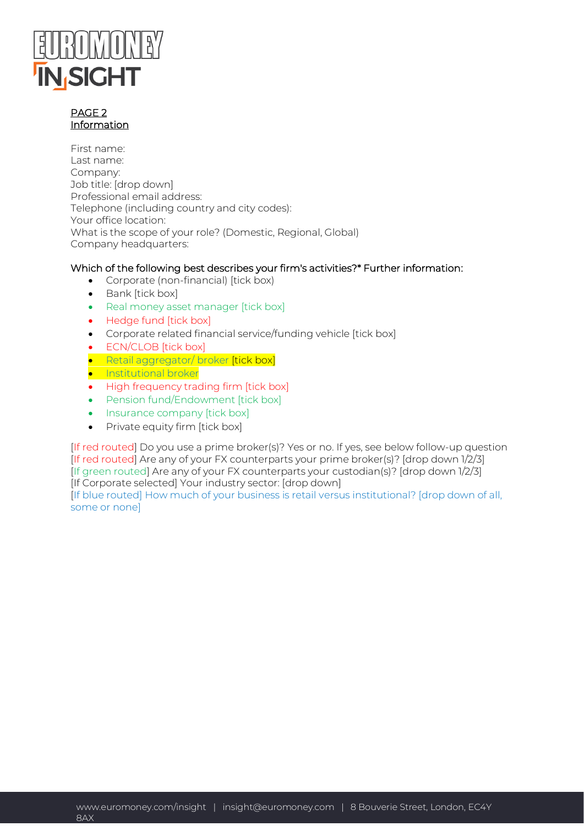

# PAGE 2 Information

First name: Last name: Company: Job title: [drop down] Professional email address: Telephone (including country and city codes): Your office location: What is the scope of your role? (Domestic, Regional, Global) Company headquarters:

# Which of the following best describes your firm's activities?\* Further information:

- Corporate (non-financial) [tick box)
- Bank [tick box]
- Real money asset manager [tick box]
- Hedge fund [tick box]
- Corporate related financial service/funding vehicle [tick box]
- ECN/CLOB [tick box]
- Retail aggregator/ broker [tick box]
- **•** Institutional broker
- High frequency trading firm [tick box]
- Pension fund/Endowment [tick box]
- Insurance company [tick box]
- Private equity firm [tick box]

[If red routed] Do you use a prime broker(s)? Yes or no. If yes, see below follow-up question [If red routed] Are any of your FX counterparts your prime broker(s)? [drop down 1/2/3] [If green routed] Are any of your FX counterparts your custodian(s)? [drop down 1/2/3] [If Corporate selected] Your industry sector: [drop down]

[If blue routed] How much of your business is retail versus institutional? [drop down of all, some or none]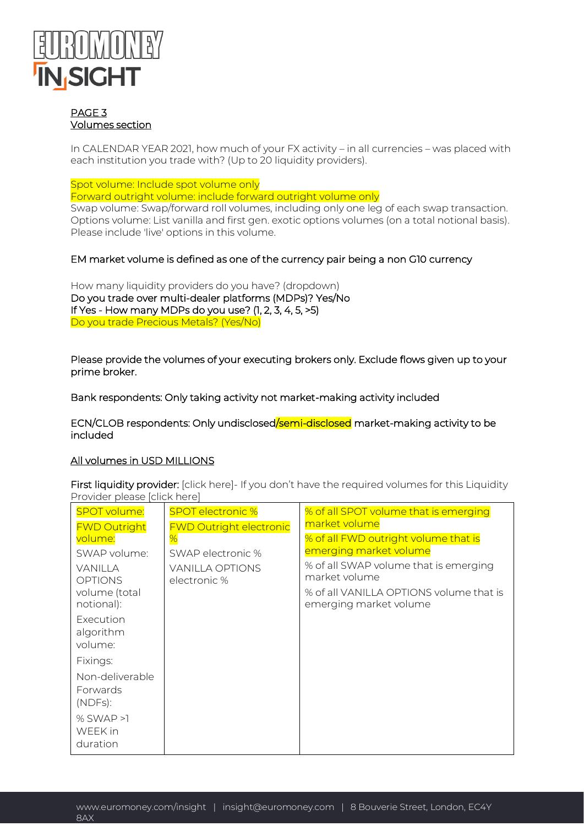

# PAGE 3 Volumes section

In CALENDAR YEAR 2021, how much of your FX activity – in all currencies – was placed with each institution you trade with? (Up to 20 liquidity providers).

Spot volume: Include spot volume only

Forward outright volume: include forward outright volume only

Swap volume: Swap/forward roll volumes, including only one leg of each swap transaction. Options volume: List vanilla and first gen. exotic options volumes (on a total notional basis). Please include 'live' options in this volume.

EM market volume is defined as one of the currency pair being a non G10 currency

How many liquidity providers do you have? (dropdown) Do you trade over multi-dealer platforms (MDPs)? Yes/No If Yes - How many MDPs do you use? (1, 2, 3, 4, 5, >5) Do you trade Precious Metals? (Yes/No)

Please provide the volumes of your executing brokers only. Exclude flows given up to your prime broker.

Bank respondents: Only taking activity not market-making activity included

ECN/CLOB respondents: Only undisclosed/semi-disclosed market-making activity to be included

# All volumes in USD MILLIONS

First liquidity provider: [click here]- If you don't have the required volumes for this Liquidity Provider please [click here]

| SPOT volume:                           | <b>SPOT electronic %</b>               | % of all SPOT volume that is emerging                             |
|----------------------------------------|----------------------------------------|-------------------------------------------------------------------|
| <b>FWD Outright</b>                    | <b>FWD Outright electronic</b>         | market volume                                                     |
| volume:                                | $\%$                                   | % of all FWD outright volume that is                              |
| SWAP volume:                           | SWAP electronic %                      | emerging market volume                                            |
| VANILLA<br><b>OPTIONS</b>              | <b>VANILLA OPTIONS</b><br>electronic % | % of all SWAP volume that is emerging<br>market volume            |
| volume (total<br>notional):            |                                        | % of all VANILLA OPTIONS volume that is<br>emerging market volume |
| Execution<br>algorithm<br>volume:      |                                        |                                                                   |
| Fixings:                               |                                        |                                                                   |
| Non-deliverable<br>Forwards<br>(NDFs): |                                        |                                                                   |
| % $SWAP >1$<br>WEEK in<br>duration     |                                        |                                                                   |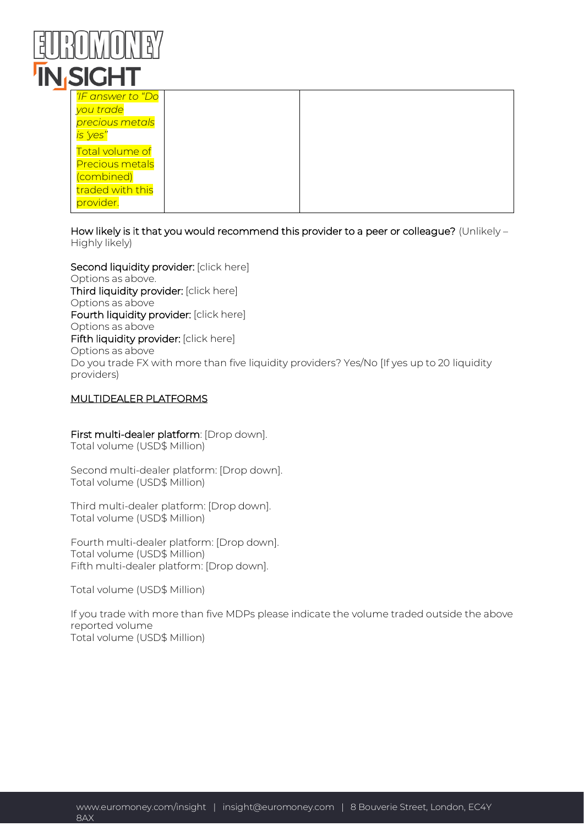

| 'IF answer to "Do      |  |  |
|------------------------|--|--|
| you trade              |  |  |
| precious metals        |  |  |
| is 'yes"               |  |  |
| Total volume of        |  |  |
| <b>Precious metals</b> |  |  |
| (combined)             |  |  |
| traded with this       |  |  |
| provider.              |  |  |
|                        |  |  |

### How likely is it that you would recommend this provider to a peer or colleague? (Unlikely – Highly likely)

Second liquidity provider: [click here] Options as above. Third liquidity provider: [click here] Options as above Fourth liquidity provider: [click here] Options as above Fifth liquidity provider: [click here] Options as above Do you trade FX with more than five liquidity providers? Yes/No [If yes up to 20 liquidity providers)

## MULTIDEALER PLATFORMS

# First multi-dealer platform: [Drop down].

Total volume (USD\$ Million)

Second multi-dealer platform: [Drop down]. Total volume (USD\$ Million)

Third multi-dealer platform: [Drop down]. Total volume (USD\$ Million)

Fourth multi-dealer platform: [Drop down]. Total volume (USD\$ Million) Fifth multi-dealer platform: [Drop down].

Total volume (USD\$ Million)

If you trade with more than five MDPs please indicate the volume traded outside the above reported volume Total volume (USD\$ Million)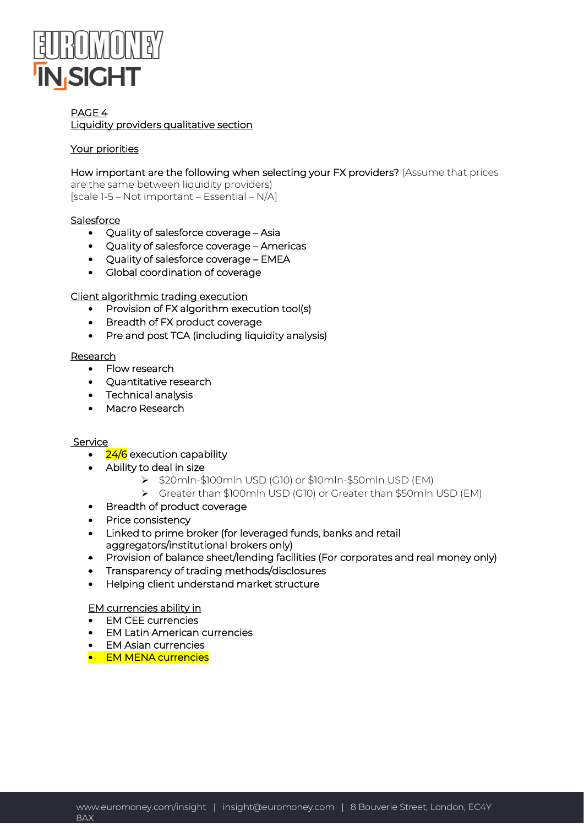

#### PAGE 4 Liquidity providers qualitative section

## Your priorities

How important are the following when selecting your FX providers? (Assume that prices

are the same between liquidity providers) [scale 1-5 – Not important – Essential – N/A]

## **Salesforce**

- Quality of salesforce coverage Asia
- Quality of salesforce coverage Americas
- Quality of salesforce coverage EMEA
- Global coordination of coverage

## Client algorithmic trading execution

- Provision of FX algorithm execution tool(s)
- Breadth of FX product coverage
- Pre and post TCA (including liquidity analysis)

#### **Research**

- Flow research
- Quantitative research
- Technical analysis
- Macro Research

#### Service

- $\cdot$  24/6 execution capability
- Ability to deal in size
	- ➢ \$20mln-\$100mln USD (G10) or \$10mln-\$50mln USD (EM)
	- ➢ Greater than \$100mln USD (G10) or Greater than \$50mln USD (EM)
- Breadth of product coverage
- Price consistency
- Linked to prime broker (for leveraged funds, banks and retail aggregators/institutional brokers only)
- Provision of balance sheet/lending facilities (For corporates and real money only)
- Transparency of trading methods/disclosures
- Helping client understand market structure

#### EM currencies ability in

- EM CEE currencies
- EM Latin American currencies
- EM Asian currencies
- EM MENA currencies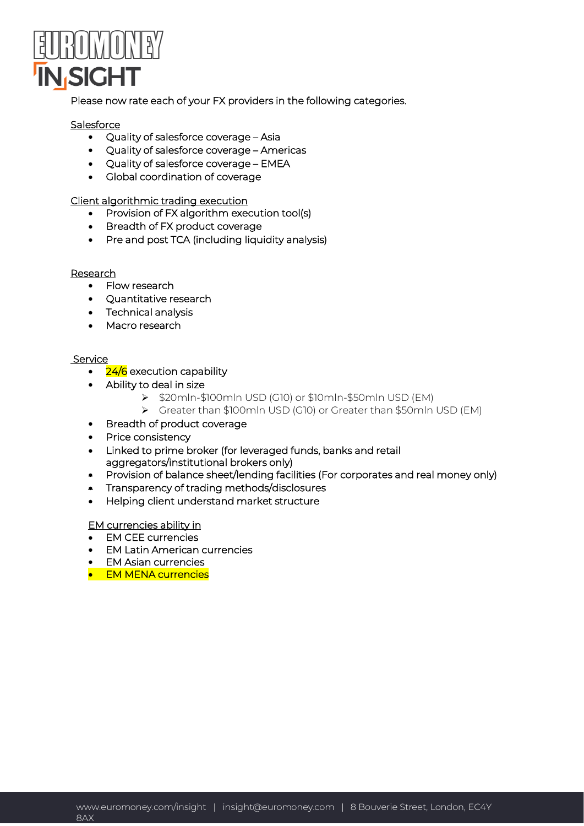

Please now rate each of your FX providers in the following categories.

## **Salesforce**

- Quality of salesforce coverage Asia
- Quality of salesforce coverage Americas
- Quality of salesforce coverage EMEA
- Global coordination of coverage

### Client algorithmic trading execution

- Provision of FX algorithm execution tool(s)
- Breadth of FX product coverage
- Pre and post TCA (including liquidity analysis)

### Research

- Flow research
- Quantitative research
- Technical analysis
- Macro research

### **Service**

- $\cdot$   $\frac{24}{6}$  execution capability
- Ability to deal in size
	- ➢ \$20mln-\$100mln USD (G10) or \$10mln-\$50mln USD (EM)
	- ➢ Greater than \$100mln USD (G10) or Greater than \$50mln USD (EM)
- Breadth of product coverage
- Price consistency
- Linked to prime broker (for leveraged funds, banks and retail aggregators/institutional brokers only)
- Provision of balance sheet/lending facilities (For corporates and real money only)
- Transparency of trading methods/disclosures
- Helping client understand market structure

#### EM currencies ability in

- EM CEE currencies
- EM Latin American currencies
- EM Asian currencies
- **EM MENA currencies**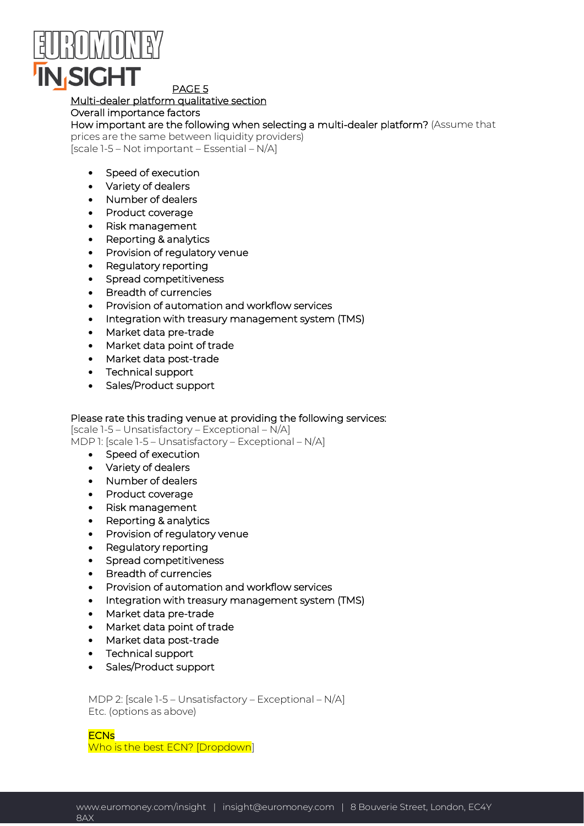

PAGE 5 Multi-dealer platform qualitative section Overall importance factors

How important are the following when selecting a multi-dealer platform? (Assume that

prices are the same between liquidity providers) [scale 1-5 – Not important – Essential – N/A]

- Speed of execution
- Variety of dealers
- Number of dealers
- Product coverage
- Risk management
- Reporting & analytics
- Provision of regulatory venue
- Regulatory reporting
- Spread competitiveness
- Breadth of currencies
- Provision of automation and workflow services
- Integration with treasury management system (TMS)
- Market data pre-trade
- Market data point of trade
- Market data post-trade
- Technical support
- Sales/Product support

# Please rate this trading venue at providing the following services:

[scale 1-5 – Unsatisfactory – Exceptional – N/A]

MDP 1: [scale 1-5 – Unsatisfactory – Exceptional – N/A]

- Speed of execution
- Variety of dealers
- Number of dealers
- Product coverage
- Risk management
- Reporting & analytics
- Provision of regulatory venue
- Regulatory reporting
- Spread competitiveness
- Breadth of currencies
- Provision of automation and workflow services
- Integration with treasury management system (TMS)
- Market data pre-trade
- Market data point of trade
- Market data post-trade
- Technical support
- Sales/Product support

MDP 2: [scale 1-5 – Unsatisfactory – Exceptional – N/A] Etc. (options as above)

#### **ECNs**

Who is the best ECN? [Dropdown]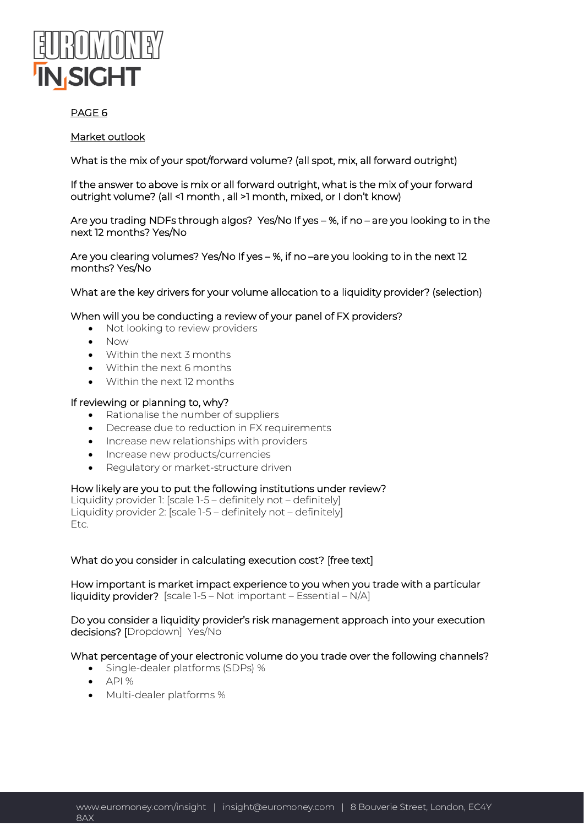

# PAGE 6

## Market outlook

What is the mix of your spot/forward volume? (all spot, mix, all forward outright)

If the answer to above is mix or all forward outright, what is the mix of your forward outright volume? (all <1 month , all >1 month, mixed, or I don't know)

Are you trading NDFs through algos? Yes/No If yes – %, if no – are you looking to in the next 12 months? Yes/No

Are you clearing volumes? Yes/No If yes – %, if no –are you looking to in the next 12 months? Yes/No

What are the key drivers for your volume allocation to a liquidity provider? (selection)

## When will you be conducting a review of your panel of FX providers?

- Not looking to review providers
- Now
- Within the next 3 months
- Within the next 6 months
- Within the next 12 months

## If reviewing or planning to, why?

- Rationalise the number of suppliers
- Decrease due to reduction in FX requirements
- Increase new relationships with providers
- Increase new products/currencies
- Regulatory or market-structure driven

### How likely are you to put the following institutions under review?

Liquidity provider 1: [scale 1-5 – definitely not – definitely] Liquidity provider 2: [scale 1-5 – definitely not – definitely] Etc.

#### What do you consider in calculating execution cost? [free text]

How important is market impact experience to you when you trade with a particular liquidity provider? [scale 1-5 – Not important – Essential – N/A]

Do you consider a liquidity provider's risk management approach into your execution decisions? [Dropdown] Yes/No

#### What percentage of your electronic volume do you trade over the following channels?

- Single-dealer platforms (SDPs) %
- $\bullet$  API%
- Multi-dealer platforms %